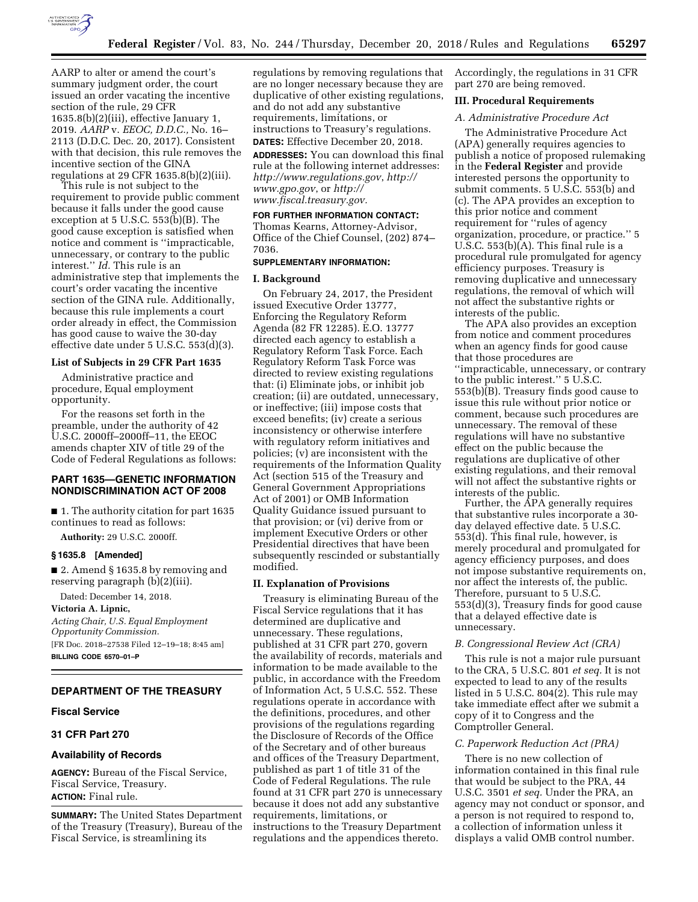

AARP to alter or amend the court's summary judgment order, the court issued an order vacating the incentive section of the rule, 29 CFR 1635.8(b)(2)(iii), effective January 1, 2019. *AARP* v. *EEOC, D.D.C.,* No. 16– 2113 (D.D.C. Dec. 20, 2017). Consistent with that decision, this rule removes the incentive section of the GINA regulations at 29 CFR 1635.8(b)(2)(iii).

This rule is not subject to the requirement to provide public comment because it falls under the good cause exception at 5 U.S.C. 553(b)(B). The good cause exception is satisfied when notice and comment is ''impracticable, unnecessary, or contrary to the public interest.'' *Id.* This rule is an administrative step that implements the court's order vacating the incentive section of the GINA rule. Additionally, because this rule implements a court order already in effect, the Commission has good cause to waive the 30-day effective date under 5 U.S.C. 553(d)(3).

#### **List of Subjects in 29 CFR Part 1635**

Administrative practice and procedure, Equal employment opportunity.

For the reasons set forth in the preamble, under the authority of 42 U.S.C. 2000ff–2000ff–11, the EEOC amends chapter XIV of title 29 of the Code of Federal Regulations as follows:

### **PART 1635—GENETIC INFORMATION NONDISCRIMINATION ACT OF 2008**

■ 1. The authority citation for part 1635 continues to read as follows:

**Authority:** 29 U.S.C. 2000ff.

### **§ 1635.8 [Amended]**

■ 2. Amend § 1635.8 by removing and reserving paragraph (b)(2)(iii).

Dated: December 14, 2018.

**Victoria A. Lipnic,** 

*Acting Chair, U.S. Equal Employment Opportunity Commission.* 

[FR Doc. 2018–27538 Filed 12–19–18; 8:45 am] **BILLING CODE 6570–01–P** 

# **DEPARTMENT OF THE TREASURY**

#### **Fiscal Service**

## **31 CFR Part 270**

### **Availability of Records**

**AGENCY:** Bureau of the Fiscal Service, Fiscal Service, Treasury. **ACTION:** Final rule.

**SUMMARY:** The United States Department of the Treasury (Treasury), Bureau of the Fiscal Service, is streamlining its

regulations by removing regulations that are no longer necessary because they are duplicative of other existing regulations, and do not add any substantive requirements, limitations, or instructions to Treasury's regulations. **DATES:** Effective December 20, 2018.

**ADDRESSES:** You can download this final rule at the following internet addresses: *<http://www.regulations.gov>*, *[http://](http://www.gpo.gov) [www.gpo.gov](http://www.gpo.gov)*, or *[http://](http://www.fiscal.treasury.gov) [www.fiscal.treasury.gov.](http://www.fiscal.treasury.gov)* 

#### **FOR FURTHER INFORMATION CONTACT:**

Thomas Kearns, Attorney-Advisor, Office of the Chief Counsel, (202) 874– 7036.

# **SUPPLEMENTARY INFORMATION:**

#### **I. Background**

On February 24, 2017, the President issued Executive Order 13777, Enforcing the Regulatory Reform Agenda (82 FR 12285). E.O. 13777 directed each agency to establish a Regulatory Reform Task Force. Each Regulatory Reform Task Force was directed to review existing regulations that: (i) Eliminate jobs, or inhibit job creation; (ii) are outdated, unnecessary, or ineffective; (iii) impose costs that exceed benefits; (iv) create a serious inconsistency or otherwise interfere with regulatory reform initiatives and policies; (v) are inconsistent with the requirements of the Information Quality Act (section 515 of the Treasury and General Government Appropriations Act of 2001) or OMB Information Quality Guidance issued pursuant to that provision; or (vi) derive from or implement Executive Orders or other Presidential directives that have been subsequently rescinded or substantially modified.

#### **II. Explanation of Provisions**

Treasury is eliminating Bureau of the Fiscal Service regulations that it has determined are duplicative and unnecessary. These regulations, published at 31 CFR part 270, govern the availability of records, materials and information to be made available to the public, in accordance with the Freedom of Information Act, 5 U.S.C. 552. These regulations operate in accordance with the definitions, procedures, and other provisions of the regulations regarding the Disclosure of Records of the Office of the Secretary and of other bureaus and offices of the Treasury Department, published as part 1 of title 31 of the Code of Federal Regulations. The rule found at 31 CFR part 270 is unnecessary because it does not add any substantive requirements, limitations, or instructions to the Treasury Department regulations and the appendices thereto.

Accordingly, the regulations in 31 CFR part 270 are being removed.

### **III. Procedural Requirements**

# *A. Administrative Procedure Act*

The Administrative Procedure Act (APA) generally requires agencies to publish a notice of proposed rulemaking in the **Federal Register** and provide interested persons the opportunity to submit comments. 5 U.S.C. 553(b) and (c). The APA provides an exception to this prior notice and comment requirement for ''rules of agency organization, procedure, or practice.'' 5 U.S.C. 553(b)(A). This final rule is a procedural rule promulgated for agency efficiency purposes. Treasury is removing duplicative and unnecessary regulations, the removal of which will not affect the substantive rights or interests of the public.

The APA also provides an exception from notice and comment procedures when an agency finds for good cause that those procedures are ''impracticable, unnecessary, or contrary to the public interest.'' 5 U.S.C. 553(b)(B). Treasury finds good cause to issue this rule without prior notice or comment, because such procedures are unnecessary. The removal of these regulations will have no substantive effect on the public because the regulations are duplicative of other existing regulations, and their removal will not affect the substantive rights or interests of the public.

Further, the APA generally requires that substantive rules incorporate a 30 day delayed effective date. 5 U.S.C. 553(d). This final rule, however, is merely procedural and promulgated for agency efficiency purposes, and does not impose substantive requirements on, nor affect the interests of, the public. Therefore, pursuant to 5 U.S.C. 553(d)(3), Treasury finds for good cause that a delayed effective date is unnecessary.

### *B. Congressional Review Act (CRA)*

This rule is not a major rule pursuant to the CRA, 5 U.S.C. 801 *et seq.* It is not expected to lead to any of the results listed in 5 U.S.C. 804(2). This rule may take immediate effect after we submit a copy of it to Congress and the Comptroller General.

#### *C. Paperwork Reduction Act (PRA)*

There is no new collection of information contained in this final rule that would be subject to the PRA, 44 U.S.C. 3501 *et seq.* Under the PRA, an agency may not conduct or sponsor, and a person is not required to respond to, a collection of information unless it displays a valid OMB control number.